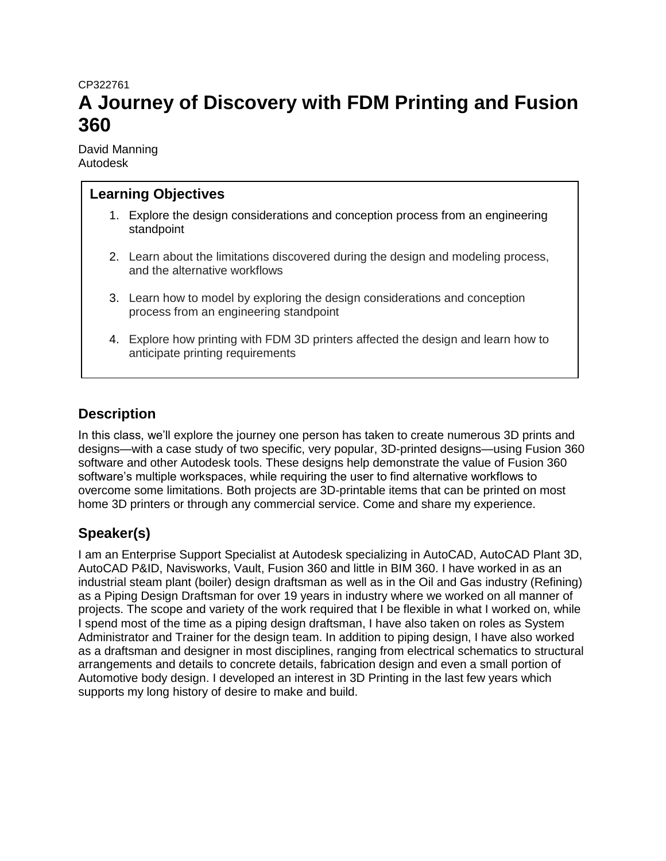# CP322761 **A Journey of Discovery with FDM Printing and Fusion 360**

David Manning Autodesk

### **Learning Objectives**

- 1. Explore the design considerations and conception process from an engineering standpoint
- 2. Learn about the limitations discovered during the design and modeling process, and the alternative workflows
- 3. Learn how to model by exploring the design considerations and conception process from an engineering standpoint
- 4. Explore how printing with FDM 3D printers affected the design and learn how to anticipate printing requirements

### **Description**

In this class, we'll explore the journey one person has taken to create numerous 3D prints and designs—with a case study of two specific, very popular, 3D-printed designs—using Fusion 360 software and other Autodesk tools. These designs help demonstrate the value of Fusion 360 software's multiple workspaces, while requiring the user to find alternative workflows to overcome some limitations. Both projects are 3D-printable items that can be printed on most home 3D printers or through any commercial service. Come and share my experience.

## **Speaker(s)**

I am an Enterprise Support Specialist at Autodesk specializing in AutoCAD, AutoCAD Plant 3D, AutoCAD P&ID, Navisworks, Vault, Fusion 360 and little in BIM 360. I have worked in as an industrial steam plant (boiler) design draftsman as well as in the Oil and Gas industry (Refining) as a Piping Design Draftsman for over 19 years in industry where we worked on all manner of projects. The scope and variety of the work required that I be flexible in what I worked on, while I spend most of the time as a piping design draftsman, I have also taken on roles as System Administrator and Trainer for the design team. In addition to piping design, I have also worked as a draftsman and designer in most disciplines, ranging from electrical schematics to structural arrangements and details to concrete details, fabrication design and even a small portion of Automotive body design. I developed an interest in 3D Printing in the last few years which supports my long history of desire to make and build.